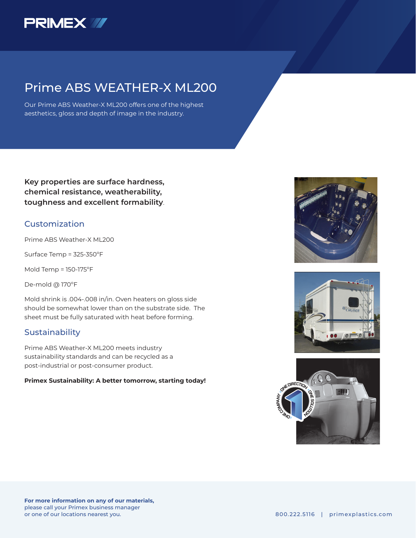

## Prime ABS WEATHER-X ML200

Our Prime ABS Weather-X ML200 offers one of the highest aesthetics, gloss and depth of image in the industry.

**Key properties are surface hardness, chemical resistance, weatherability, toughness and excellent formability**.

### Customization

Prime ABS Weather-X ML200

Surface Temp = 325-350ºF

Mold Temp = 150-175ºF

De-mold @ 170ºF

Mold shrink is .004-.008 in/in. Oven heaters on gloss side should be somewhat lower than on the substrate side. The sheet must be fully saturated with heat before forming.

### Sustainability

Prime ABS Weather-X ML200 meets industry sustainability standards and can be recycled as a post-industrial or post-consumer product.

#### **Primex Sustainability: A better tomorrow, starting today!**